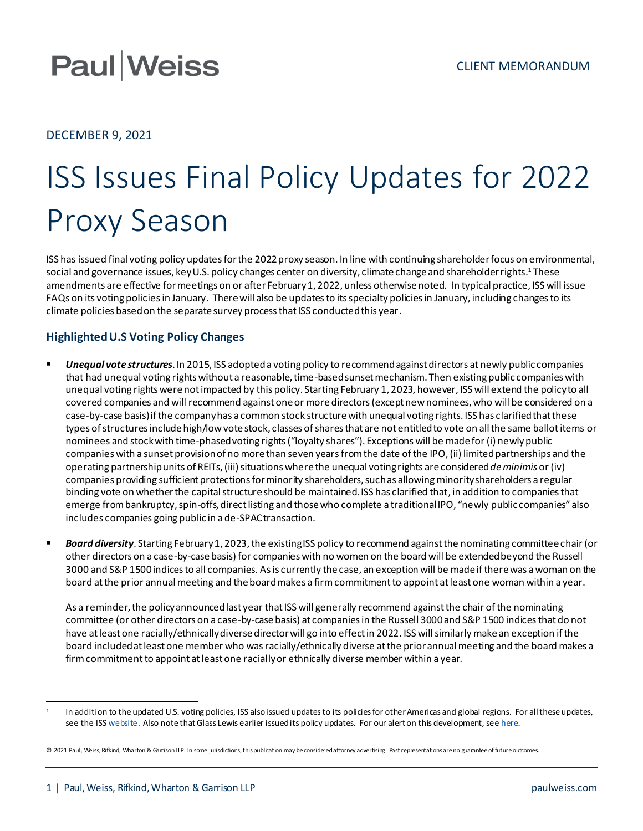## **Paul Weiss**

### DECEMBER 9, 2021

# ISS Issues Final Policy Updates for 2022 Proxy Season

ISS has issued final voting policy updatesfor the 2022 proxy season. In line with continuing shareholder focus on environmental, social and governance issues, key U.S. policy changes center on diversity, climate change and shareholder rights. <sup>1</sup> These amendments are effective for meetings on or after February 1, 2022, unless otherwise noted. In typical practice, ISS will issue FAQs on its voting policies in January. There will also be updates to its specialty policies in January, including changes to its climate policies based on the separate survey process that ISS conducted this year.

### **Highlighted U.S Voting Policy Changes**

- *Unequal vote structures*. In 2015, ISS adopted a voting policy to recommend against directors at newly public companies that had unequal voting rights without a reasonable, time-based sunset mechanism. Then existing public companies with unequal voting rights were not impacted by this policy. Starting February 1, 2023, however, ISS will extend the policy to all covered companies and will recommend against one or more directors(except new nominees, who will be considered on a case-by-case basis) if the company has a common stock structure with unequal voting rights. ISS has clarified that these types of structures include high/low vote stock, classes of shares that are not entitled to vote on all the same ballot items or nominees and stock with time-phased voting rights ("loyalty shares"). Exceptions will be made for (i) newlypublic companies with a sunset provision of no more than seven years from the date of the IPO, (ii) limited partnerships and the operating partnership units of REITs, (iii) situations where the unequal voting rights are considered *de minimis* or (iv) companies providing sufficient protections for minority shareholders, such as allowing minority shareholders a regular binding vote on whether the capital structure should be maintained. ISS has clarified that, in addition to companies that emerge from bankruptcy, spin-offs, direct listing and those who complete a traditional IPO, "newly public companies" also includes companies going public in a de-SPAC transaction.
- Board diversity. Starting February 1, 2023, the existing ISS policy to recommend against the nominating committee chair (or other directors on a case-by-case basis) for companies with no women on the board will be extended beyond the Russell 3000 and S&P 1500 indices to all companies. As is currently the case, an exception will be made if there was a woman on the board at the prior annual meeting and the board makes a firm commitment to appoint at least one woman within a year.

As a reminder, the policy announced last year that ISS will generally recommend against the chair of the nominating committee (or other directors on a case-by-case basis) at companies in the Russell 3000 and S&P 1500 indices that do not have at least one racially/ethnically diverse director will go into effect in 2022. ISS will similarly make an exception if the board included at least one member who was racially/ethnically diverse at the priorannual meeting and the board makes a firm commitment to appoint at least one racially or ethnically diverse member within a year.

<sup>1</sup> In addition to the updated U.S. voting policies, ISS also issued updates to its policies for other Americas and global regions. For all these updates, see the IS[S website](https://www.issgovernance.com/policy-gateway/upcoming-policies/). Also note that Glass Lewis earlier issued its policy updates. For our alert on this development, se[e here](https://www.paulweiss.com/practices/transactional/capital-markets/publications/glass-lewis-issues-2022-voting-policies?id=41777).

<sup>© 2021</sup> Paul, Weiss, Rifkind, Wharton & Garrison LLP. In some jurisdictions, this publication may be considered attorney advertising. Past representations are no guarantee of future outcomes.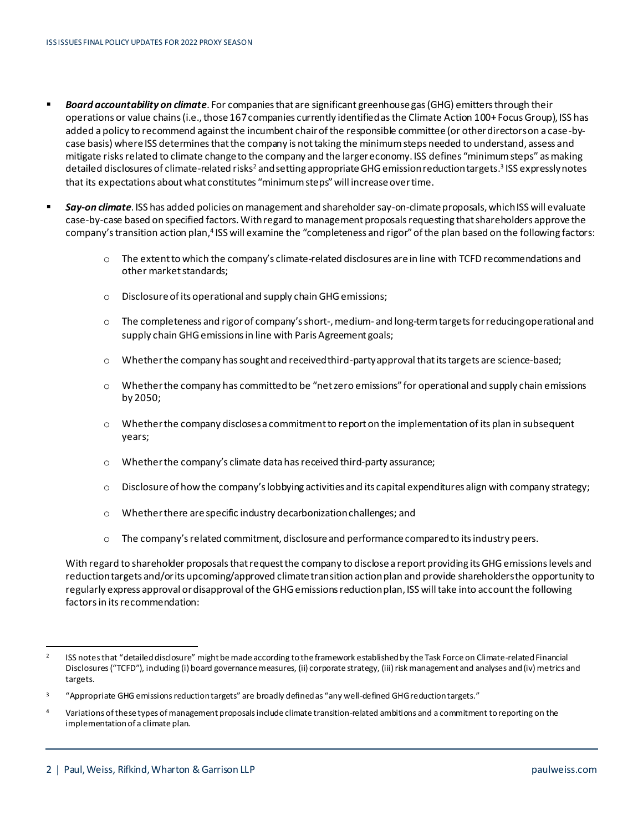- *Board accountability on climate*. For companies that are significant greenhouse gas (GHG) emitters through their operations or value chains(i.e., those 167 companies currently identified as the Climate Action 100+ Focus Group), ISS has added a policy to recommend againstthe incumbent chair of the responsible committee (or other directors on a case-bycase basis) where ISS determines that the company is not taking the minimum steps needed to understand, assess and mitigate risks related to climate change to the company and the larger economy. ISS defines "minimum steps" as making detailed disclosures of climate-related risks<sup>2</sup> and setting appropriate GHG emission reduction targets.<sup>3</sup> ISS expressly notes that its expectations about what constitutes "minimum steps" will increase over time.
- **EXECT:** Say-on climate. ISS has added policies on management and shareholder say-on-climate proposals, which ISS will evaluate case-by-case based on specified factors. With regard to management proposals requesting that shareholders approve the company's transition action plan,<sup>4</sup> ISS will examine the "completeness and rigor" of the plan based on the following factors:
	- o The extent to which the company's climate-related disclosures are in line with TCFD recommendations and other market standards;
	- o Disclosure of its operational and supply chain GHG emissions;
	- o The completeness and rigor of company's short-, medium- and long-term targets for reducing operational and supply chain GHG emissions in line with Paris Agreement goals;
	- $\circ$  Whether the company has sought and received third-party approval that its targets are science-based;
	- o Whether the company has committedto be "net zero emissions" for operational and supply chain emissions by 2050;
	- $\circ$  Whether the company discloses a commitment to report on the implementation of its plan in subsequent years;
	- o Whether the company's climate data has received third-party assurance;
	- $\circ$  Disclosure of how the company's lobbying activities and its capital expenditures align with company strategy;
	- o Whether there are specific industry decarbonization challenges; and
	- o The company's related commitment, disclosure and performance compared to its industry peers.

With regard to shareholder proposals that request the company to disclose a report providing its GHG emissions levels and reduction targets and/or its upcoming/approved climate transition action plan and provide shareholders the opportunity to regularly express approval or disapproval of the GHG emissions reduction plan, ISS will take into account the following factors in its recommendation:

<sup>2</sup> ISS notes that "detailed disclosure" might be made according to the framework established by the Task Force on Climate-related Financial Disclosures ("TCFD"), including (i) board governance measures, (ii) corporate strategy, (iii) risk management and analyses and (iv) metrics and targets.

<sup>&</sup>lt;sup>3</sup> "Appropriate GHG emissions reduction targets" are broadly defined as "any well-defined GHG reduction targets."

<sup>4</sup> Variations of these types of management proposals include climate transition-related ambitions and a commitment to reporting on the implementation of a climate plan.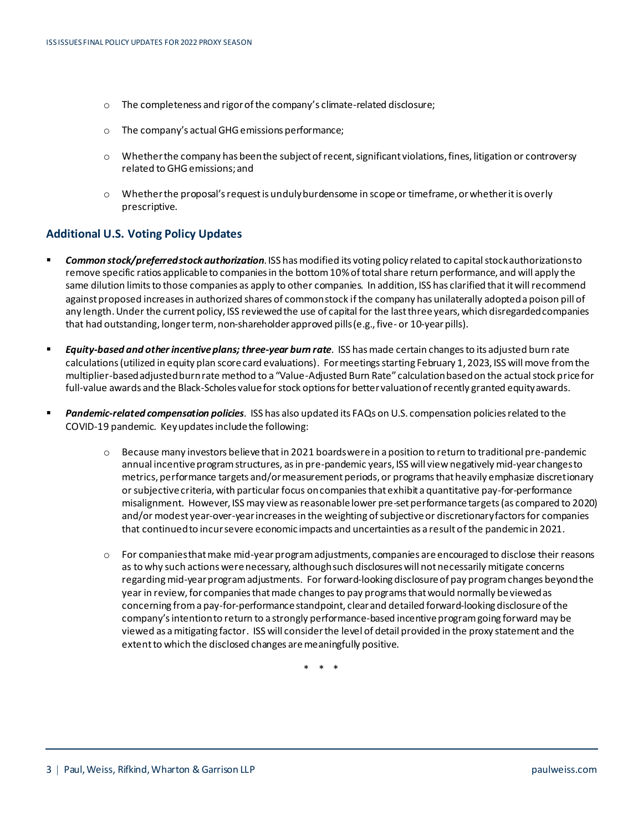- o The completeness and rigor of the company's climate-related disclosure;
- o The company's actual GHG emissions performance;
- o Whether the company has been the subject of recent, significant violations, fines, litigation or controversy related to GHG emissions; and
- o Whether the proposal's request is unduly burdensome in scope or timeframe, or whether it is overly prescriptive.

#### **Additional U.S. Voting Policy Updates**

- *Common stock/preferred stock authorization*. ISS has modified its voting policy related to capital stock authorizations to remove specific ratios applicable to companies in the bottom 10% of total share return performance, and will apply the same dilution limits to those companies as apply to other companies. In addition, ISS has clarified that it will recommend against proposed increases in authorized shares of common stock if the company has unilaterally adopteda poison pill of any length. Under the current policy, ISS reviewed the use of capital for the last three years, which disregarded companies that had outstanding, longer term, non-shareholder approved pills(e.g., five- or 10-year pills).
- *Equity-based and other incentive plans; three-year burn rate*. ISS has made certain changes to its adjusted burn rate calculations (utilized in equity plan score card evaluations). For meetings starting February 1, 2023, ISS will move from the multiplier-based adjusted burn rate method to a "Value-Adjusted Burn Rate" calculation based on the actual stock price for full-value awards and the Black-Scholes value for stock options for better valuation of recently granted equity awards.
- Pandemic-related compensation policies. ISS has also updated its FAQs on U.S. compensation policies related to the COVID-19 pandemic. Key updates include the following:
	- $\circ$  Because many investors believe that in 2021 boards were in a position to return to traditional pre-pandemic annual incentive program structures, as in pre-pandemic years, ISS will view negatively mid-year changesto metrics, performance targets and/or measurement periods, or programs that heavily emphasize discretionary or subjective criteria, with particular focus on companies that exhibit a quantitative pay-for-performance misalignment. However, ISS may view asreasonable lower pre-set performance targets (as compared to 2020) and/or modest year-over-year increasesin the weighting of subjective or discretionary factors for companies that continued to incur severe economic impacts and uncertainties as a result of the pandemic in 2021.
	- o For companies that make mid-year program adjustments, companies are encouraged to disclose their reasons as to why such actions were necessary, although such disclosures will not necessarily mitigate concerns regarding mid-year program adjustments. For forward-looking disclosure of pay program changes beyond the year in review, for companies that made changes to pay programs that would normally be viewed as concerning from a pay-for-performance standpoint, clear and detailed forward-looking disclosure of the company's intention to return to a strongly performance-based incentive program going forward may be viewed as a mitigating factor. ISS will consider the level of detail provided in the proxy statement and the extent to which the disclosed changes are meaningfully positive.

\* \* \*